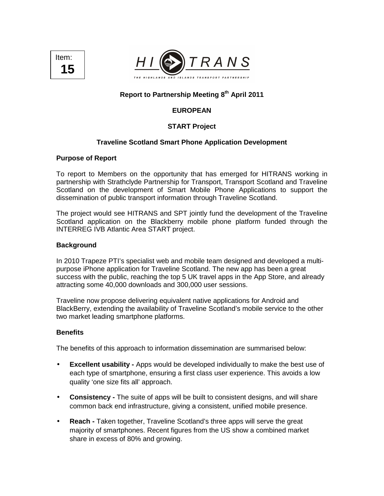



# **Report to Partnership Meeting 8th April 2011**

# **EUROPEAN**

# **START Project**

### **Traveline Scotland Smart Phone Application Development**

#### **Purpose of Report**

To report to Members on the opportunity that has emerged for HITRANS working in partnership with Strathclyde Partnership for Transport, Transport Scotland and Traveline Scotland on the development of Smart Mobile Phone Applications to support the dissemination of public transport information through Traveline Scotland.

The project would see HITRANS and SPT jointly fund the development of the Traveline Scotland application on the Blackberry mobile phone platform funded through the INTERREG IVB Atlantic Area START project.

#### **Background**

In 2010 Trapeze PTI's specialist web and mobile team designed and developed a multipurpose iPhone application for Traveline Scotland. The new app has been a great success with the public, reaching the top 5 UK travel apps in the App Store, and already attracting some 40,000 downloads and 300,000 user sessions.

Traveline now propose delivering equivalent native applications for Android and BlackBerry, extending the availability of Traveline Scotland's mobile service to the other two market leading smartphone platforms.

#### **Benefits**

The benefits of this approach to information dissemination are summarised below:

- **Excellent usability -** Apps would be developed individually to make the best use of each type of smartphone, ensuring a first class user experience. This avoids a low quality 'one size fits all' approach.
- **Consistency** The suite of apps will be built to consistent designs, and will share common back end infrastructure, giving a consistent, unified mobile presence.
- **Reach -** Taken together, Traveline Scotland's three apps will serve the great majority of smartphones. Recent figures from the US show a combined market share in excess of 80% and growing.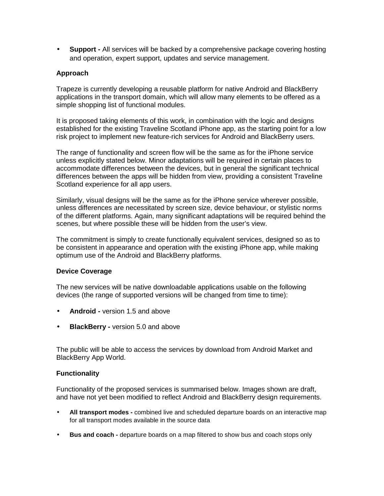• **Support -** All services will be backed by a comprehensive package covering hosting and operation, expert support, updates and service management.

### **Approach**

Trapeze is currently developing a reusable platform for native Android and BlackBerry applications in the transport domain, which will allow many elements to be offered as a simple shopping list of functional modules.

It is proposed taking elements of this work, in combination with the logic and designs established for the existing Traveline Scotland iPhone app, as the starting point for a low risk project to implement new feature-rich services for Android and BlackBerry users.

The range of functionality and screen flow will be the same as for the iPhone service unless explicitly stated below. Minor adaptations will be required in certain places to accommodate differences between the devices, but in general the significant technical differences between the apps will be hidden from view, providing a consistent Traveline Scotland experience for all app users.

Similarly, visual designs will be the same as for the iPhone service wherever possible, unless differences are necessitated by screen size, device behaviour, or stylistic norms of the different platforms. Again, many significant adaptations will be required behind the scenes, but where possible these will be hidden from the user's view.

The commitment is simply to create functionally equivalent services, designed so as to be consistent in appearance and operation with the existing iPhone app, while making optimum use of the Android and BlackBerry platforms.

#### **Device Coverage**

The new services will be native downloadable applications usable on the following devices (the range of supported versions will be changed from time to time):

- **Android** version 1.5 and above
- **BlackBerry** version 5.0 and above

The public will be able to access the services by download from Android Market and BlackBerry App World.

## **Functionality**

Functionality of the proposed services is summarised below. Images shown are draft, and have not yet been modified to reflect Android and BlackBerry design requirements.

- **All transport modes** combined live and scheduled departure boards on an interactive map for all transport modes available in the source data
- **Bus and coach -** departure boards on a map filtered to show bus and coach stops only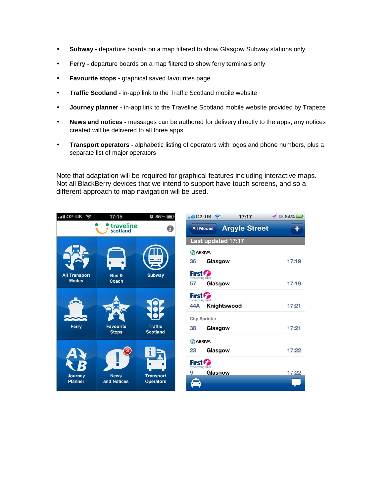- **Subway -** departure boards on a map filtered to show Glasgow Subway stations only
- **Ferry -** departure boards on a map filtered to show ferry terminals only
- **Favourite stops -** graphical saved favourites page
- **Traffic Scotland -** in-app link to the Traffic Scotland mobile website
- **Journey planner -** in-app link to the Traveline Scotland mobile website provided by Trapeze
- **News and notices** messages can be authored for delivery directly to the apps; any notices created will be delivered to all three apps
- **Transport operators -** alphabetic listing of operators with logos and phone numbers, plus a separate list of major operators

Note that adaptation will be required for graphical features including interactive maps. Not all BlackBerry devices that we intend to support have touch screens, and so a different approach to map navigation will be used.



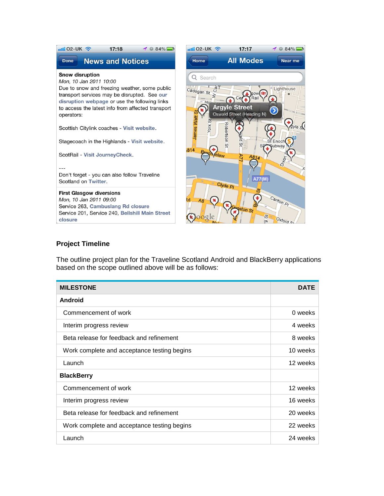

## **Project Timeline**

The outline project plan for the Traveline Scotland Android and BlackBerry applications based on the scope outlined above will be as follows:

| <b>MILESTONE</b>                            | DATE     |
|---------------------------------------------|----------|
| Android                                     |          |
| Commencement of work                        | 0 weeks  |
| Interim progress review                     | 4 weeks  |
| Beta release for feedback and refinement    | 8 weeks  |
| Work complete and acceptance testing begins | 10 weeks |
| Launch                                      | 12 weeks |
| <b>BlackBerry</b>                           |          |
| Commencement of work                        | 12 weeks |
| Interim progress review                     | 16 weeks |
| Beta release for feedback and refinement    | 20 weeks |
| Work complete and acceptance testing begins | 22 weeks |
| Launch                                      | 24 weeks |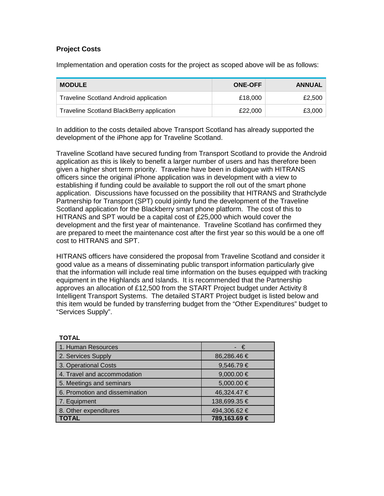# **Project Costs**

**TOTAL** 

Implementation and operation costs for the project as scoped above will be as follows:

| <b>MODULE</b>                                 | <b>ONE-OFF</b> | ANNUAL |
|-----------------------------------------------|----------------|--------|
| <b>Traveline Scotland Android application</b> | £18,000        | £2,500 |
| Traveline Scotland BlackBerry application     | £22,000        | £3,000 |

In addition to the costs detailed above Transport Scotland has already supported the development of the iPhone app for Traveline Scotland.

Traveline Scotland have secured funding from Transport Scotland to provide the Android application as this is likely to benefit a larger number of users and has therefore been given a higher short term priority. Traveline have been in dialogue with HITRANS officers since the original iPhone application was in development with a view to establishing if funding could be available to support the roll out of the smart phone application. Discussions have focussed on the possibility that HITRANS and Strathclyde Partnership for Transport (SPT) could jointly fund the development of the Traveline Scotland application for the Blackberry smart phone platform. The cost of this to HITRANS and SPT would be a capital cost of £25,000 which would cover the development and the first year of maintenance. Traveline Scotland has confirmed they are prepared to meet the maintenance cost after the first year so this would be a one off cost to HITRANS and SPT.

HITRANS officers have considered the proposal from Traveline Scotland and consider it good value as a means of disseminating public transport information particularly give that the information will include real time information on the buses equipped with tracking equipment in the Highlands and Islands. It is recommended that the Partnership approves an allocation of £12,500 from the START Project budget under Activity 8 Intelligent Transport Systems. The detailed START Project budget is listed below and this item would be funded by transferring budget from the "Other Expenditures" budget to "Services Supply".

| .                              |                |
|--------------------------------|----------------|
| 1. Human Resources             | - €            |
| 2. Services Supply             | 86,286.46 €    |
| 3. Operational Costs           | 9,546.79 €     |
| 4. Travel and accommodation    | 9,000.00 $\in$ |
| 5. Meetings and seminars       | 5,000.00 €     |
| 6. Promotion and dissemination | 46,324.47 €    |
| 7. Equipment                   | 138,699.35 €   |
| 8. Other expenditures          | 494,306.62 €   |
| <b>TOTAL</b>                   | 789,163.69 €   |